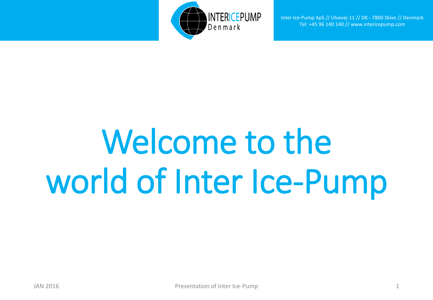

# Welcome to the world of Inter Ice-Pump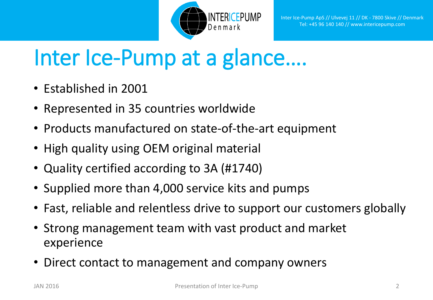

## Inter Ice-Pump at a glance….

- Established in 2001
- Represented in 35 countries worldwide
- Products manufactured on state-of-the-art equipment
- High quality using OEM original material
- Quality certified according to 3A (#1740)
- Supplied more than 4,000 service kits and pumps
- Fast, reliable and relentless drive to support our customers globally
- Strong management team with vast product and market experience
- Direct contact to management and company owners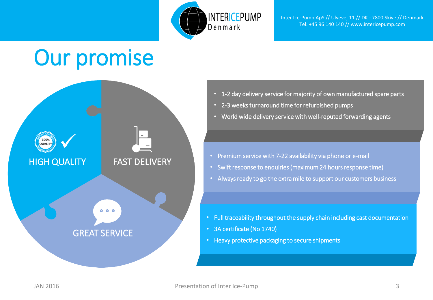

### Our promise



- 1-2 day delivery service for majority of own manufactured spare parts
- 2-3 weeks turnaround time for refurbished pumps
- World wide delivery service with well-reputed forwarding agents

- Premium service with 7-22 availability via phone or e-mail
- Swift response to enquiries (maximum 24 hours response time)
- Always ready to go the extra mile to support our customers business

- Full traceability throughout the supply chain including cast documentation
- 3A certificate (No 1740)
- Heavy protective packaging to secure shipments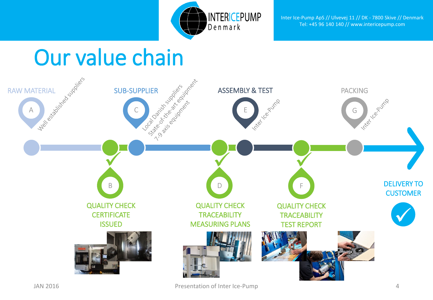



JAN 2016 Presentation of Inter Ice-Pump 4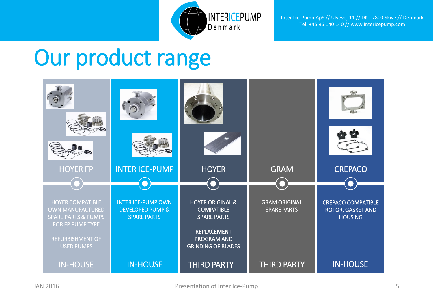

### Our product range

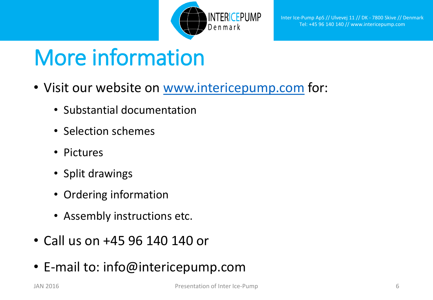

## More information

- Visit our website on [www.intericepump.com](http://www.intericepump.com/) for:
	- Substantial documentation
	- Selection schemes
	- Pictures
	- Split drawings
	- Ordering information
	- Assembly instructions etc.
- Call us on +45 96 140 140 or
- E-mail to: info@intericepump.com